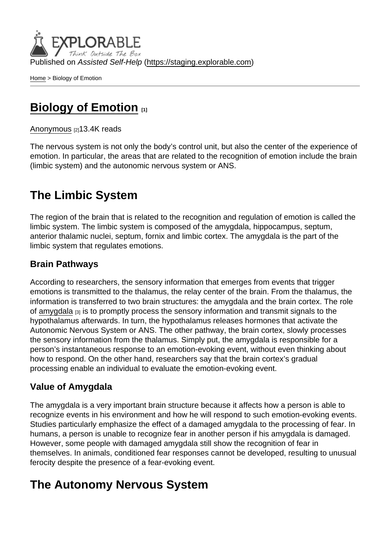Published on Assisted Self-Help [\(https://staging.explorable.com](https://staging.explorable.com))

[Home](https://staging.explorable.com/en) > Biology of Emotion

# [Biology of Emotion](https://staging.explorable.com/en/biology-of-emotion) [1]

#### [Anonymous](https://staging.explorable.com/en/users/sarah) [2] 13.4K reads

The nervous system is not only the body's control unit, but also the center of the experience of emotion. In particular, the areas that are related to the recognition of emotion include the brain (limbic system) and the autonomic nervous system or ANS.

## The Limbic System

The region of the brain that is related to the recognition and regulation of emotion is called the limbic system. The limbic system is composed of the amygdala, hippocampus, septum, anterior thalamic nuclei, septum, fornix and limbic cortex. The amygdala is the part of the limbic system that regulates emotions.

### Brain Pathways

According to researchers, the sensory information that emerges from events that trigger emotions is transmitted to the thalamus, the relay center of the brain. From the thalamus, the information is transferred to two brain structures: the amygdala and the brain cortex. The role of [amygdala](http://www.sparknotes.com/psychology/psych101/emotion/section2.rhtml)  $[3]$  is to promptly process the sensory information and transmit signals to the hypothalamus afterwards. In turn, the hypothalamus releases hormones that activate the Autonomic Nervous System or ANS. The other pathway, the brain cortex, slowly processes the sensory information from the thalamus. Simply put, the amygdala is responsible for a person's instantaneous response to an emotion-evoking event, without even thinking about how to respond. On the other hand, researchers say that the brain cortex's gradual processing enable an individual to evaluate the emotion-evoking event.

### Value of Amygdala

The amygdala is a very important brain structure because it affects how a person is able to recognize events in his environment and how he will respond to such emotion-evoking events. Studies particularly emphasize the effect of a damaged amygdala to the processing of fear. In humans, a person is unable to recognize fear in another person if his amygdala is damaged. However, some people with damaged amygdala still show the recognition of fear in themselves. In animals, conditioned fear responses cannot be developed, resulting to unusual ferocity despite the presence of a fear-evoking event.

## The Autonomy Nervous System